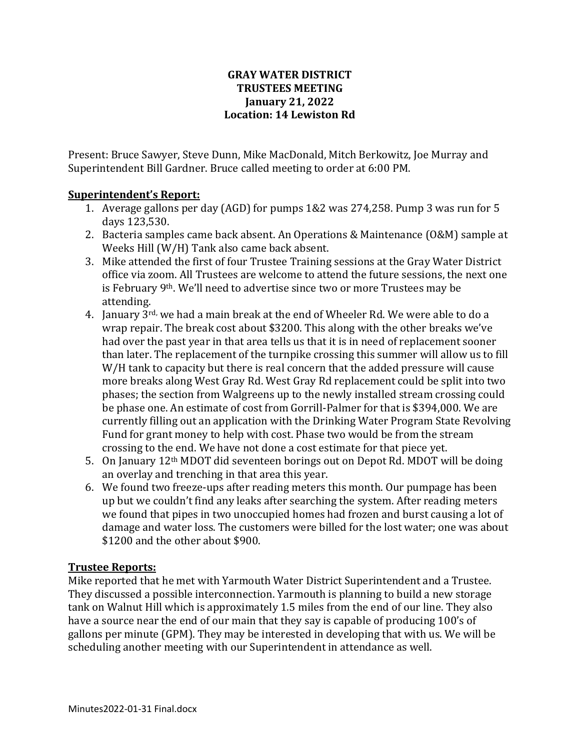#### **GRAY WATER DISTRICT TRUSTEES MEETING January 21, 2022 Location: 14 Lewiston Rd**

Present: Bruce Sawyer, Steve Dunn, Mike MacDonald, Mitch Berkowitz, Joe Murray and Superintendent Bill Gardner. Bruce called meeting to order at 6:00 PM.

#### **Superintendent's Report:**

- 1. Average gallons per day (AGD) for pumps 1&2 was 274,258. Pump 3 was run for 5 days 123,530.
- 2. Bacteria samples came back absent. An Operations & Maintenance (O&M) sample at Weeks Hill (W/H) Tank also came back absent.
- 3. Mike attended the first of four Trustee Training sessions at the Gray Water District office via zoom. All Trustees are welcome to attend the future sessions, the next one is February 9th. We'll need to advertise since two or more Trustees may be attending.
- 4. January 3rd, we had a main break at the end of Wheeler Rd. We were able to do a wrap repair. The break cost about \$3200. This along with the other breaks we've had over the past year in that area tells us that it is in need of replacement sooner than later. The replacement of the turnpike crossing this summer will allow us to fill W/H tank to capacity but there is real concern that the added pressure will cause more breaks along West Gray Rd. West Gray Rd replacement could be split into two phases; the section from Walgreens up to the newly installed stream crossing could be phase one. An estimate of cost from Gorrill-Palmer for that is \$394,000. We are currently filling out an application with the Drinking Water Program State Revolving Fund for grant money to help with cost. Phase two would be from the stream crossing to the end. We have not done a cost estimate for that piece yet.
- 5. On January 12th MDOT did seventeen borings out on Depot Rd. MDOT will be doing an overlay and trenching in that area this year.
- 6. We found two freeze-ups after reading meters this month. Our pumpage has been up but we couldn't find any leaks after searching the system. After reading meters we found that pipes in two unoccupied homes had frozen and burst causing a lot of damage and water loss. The customers were billed for the lost water; one was about \$1200 and the other about \$900.

#### **Trustee Reports:**

Mike reported that he met with Yarmouth Water District Superintendent and a Trustee. They discussed a possible interconnection. Yarmouth is planning to build a new storage tank on Walnut Hill which is approximately 1.5 miles from the end of our line. They also have a source near the end of our main that they say is capable of producing 100's of gallons per minute (GPM). They may be interested in developing that with us. We will be scheduling another meeting with our Superintendent in attendance as well.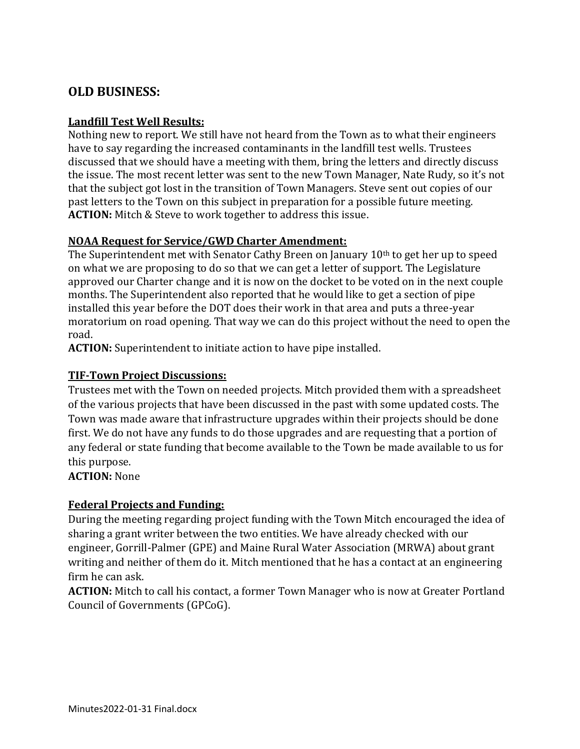# **OLD BUSINESS:**

#### **Landfill Test Well Results:**

Nothing new to report. We still have not heard from the Town as to what their engineers have to say regarding the increased contaminants in the landfill test wells. Trustees discussed that we should have a meeting with them, bring the letters and directly discuss the issue. The most recent letter was sent to the new Town Manager, Nate Rudy, so it's not that the subject got lost in the transition of Town Managers. Steve sent out copies of our past letters to the Town on this subject in preparation for a possible future meeting. **ACTION:** Mitch & Steve to work together to address this issue.

#### **NOAA Request for Service/GWD Charter Amendment:**

The Superintendent met with Senator Cathy Breen on January 10<sup>th</sup> to get her up to speed on what we are proposing to do so that we can get a letter of support. The Legislature approved our Charter change and it is now on the docket to be voted on in the next couple months. The Superintendent also reported that he would like to get a section of pipe installed this year before the DOT does their work in that area and puts a three-year moratorium on road opening. That way we can do this project without the need to open the road.

**ACTION:** Superintendent to initiate action to have pipe installed.

#### **TIF-Town Project Discussions:**

Trustees met with the Town on needed projects. Mitch provided them with a spreadsheet of the various projects that have been discussed in the past with some updated costs. The Town was made aware that infrastructure upgrades within their projects should be done first. We do not have any funds to do those upgrades and are requesting that a portion of any federal or state funding that become available to the Town be made available to us for this purpose.

**ACTION:** None

#### **Federal Projects and Funding:**

During the meeting regarding project funding with the Town Mitch encouraged the idea of sharing a grant writer between the two entities. We have already checked with our engineer, Gorrill-Palmer (GPE) and Maine Rural Water Association (MRWA) about grant writing and neither of them do it. Mitch mentioned that he has a contact at an engineering firm he can ask.

**ACTION:** Mitch to call his contact, a former Town Manager who is now at Greater Portland Council of Governments (GPCoG).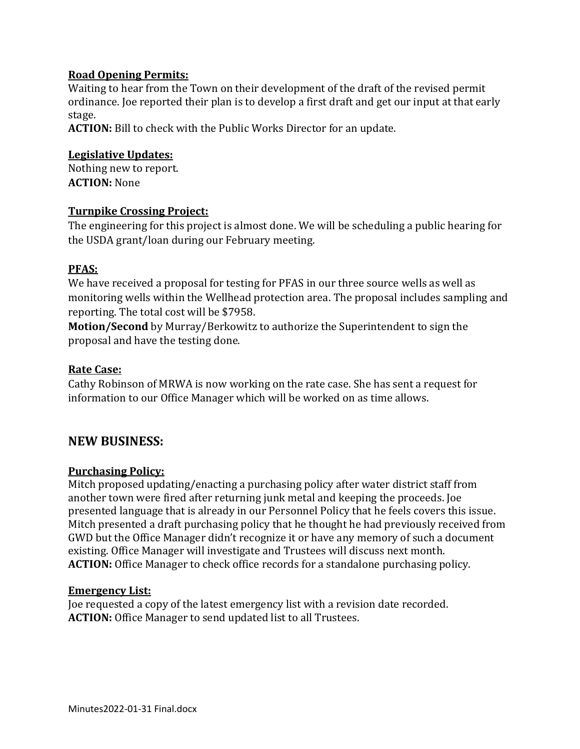#### **Road Opening Permits:**

Waiting to hear from the Town on their development of the draft of the revised permit ordinance. Joe reported their plan is to develop a first draft and get our input at that early stage.

**ACTION:** Bill to check with the Public Works Director for an update.

#### **Legislative Updates:**

Nothing new to report. **ACTION:** None

#### **Turnpike Crossing Project:**

The engineering for this project is almost done. We will be scheduling a public hearing for the USDA grant/loan during our February meeting.

### **PFAS:**

We have received a proposal for testing for PFAS in our three source wells as well as monitoring wells within the Wellhead protection area. The proposal includes sampling and reporting. The total cost will be \$7958.

**Motion/Second** by Murray/Berkowitz to authorize the Superintendent to sign the proposal and have the testing done.

#### **Rate Case:**

Cathy Robinson of MRWA is now working on the rate case. She has sent a request for information to our Office Manager which will be worked on as time allows.

## **NEW BUSINESS:**

### **Purchasing Policy:**

Mitch proposed updating/enacting a purchasing policy after water district staff from another town were fired after returning junk metal and keeping the proceeds. Joe presented language that is already in our Personnel Policy that he feels covers this issue. Mitch presented a draft purchasing policy that he thought he had previously received from GWD but the Office Manager didn't recognize it or have any memory of such a document existing. Office Manager will investigate and Trustees will discuss next month. **ACTION:** Office Manager to check office records for a standalone purchasing policy.

#### **Emergency List:**

Joe requested a copy of the latest emergency list with a revision date recorded. **ACTION:** Office Manager to send updated list to all Trustees.